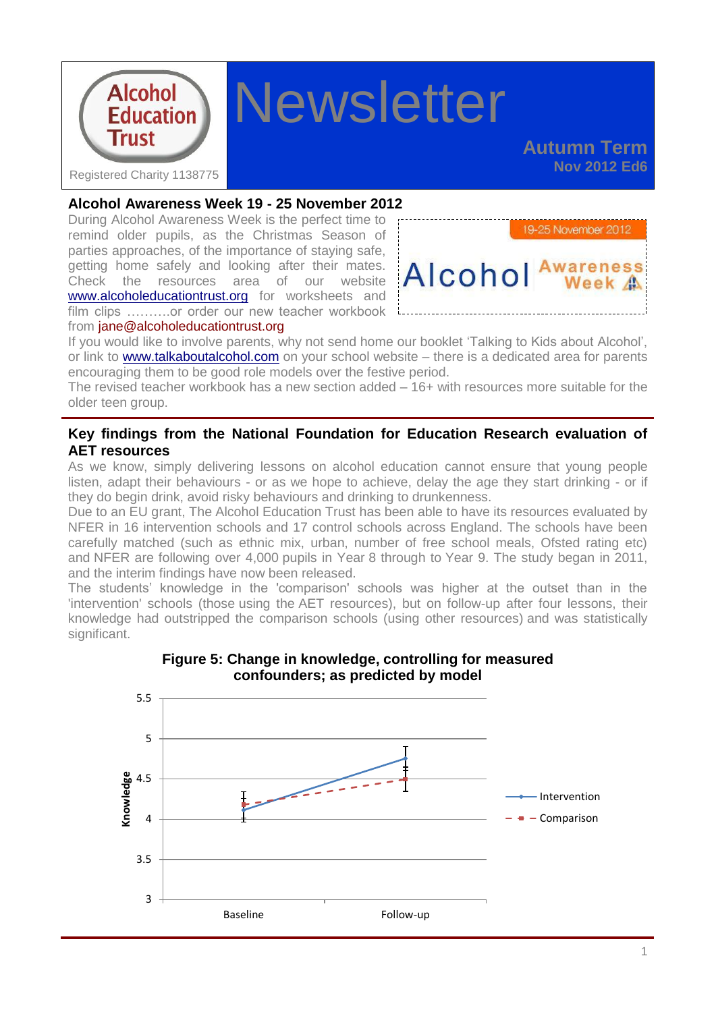

# **Newsletter**

**Autumn Term Nov 2012 Ed6**

#### **Alcohol Awareness Week 19 - 25 November 2012**

During Alcohol Awareness Week is the perfect time to remind older pupils, as the Christmas Season of parties approaches, of the importance of staying safe, getting home safely and looking after their mates. Check the resources area of our website [www.alcoholeducationtrust.org](http://www.alcoholeducationtrust.org/) for worksheets and film clips ..........or order our new teacher workbook from  $\mathsf{iane@alcoholeducation}$ trust.org



If you would like to involve parents, why not send home our booklet 'Talking to Kids about Alcohol', or link to [www.talkaboutalcohol.com](http://www.talkaboutalcohol.com/) on your school website – there is a dedicated area for parents encouraging them to be good role models over the festive period.

The revised teacher workbook has a new section added – 16+ with resources more suitable for the older teen group.

## **Key findings from the National Foundation for Education Research evaluation of AET resources**

As we know, simply delivering lessons on alcohol education cannot ensure that young people listen, adapt their behaviours - or as we hope to achieve, delay the age they start drinking - or if they do begin drink, avoid risky behaviours and drinking to drunkenness.

Due to an EU grant, The Alcohol Education Trust has been able to have its resources evaluated by NFER in 16 intervention schools and 17 control schools across England. The schools have been carefully matched (such as ethnic mix, urban, number of free school meals, Ofsted rating etc) and NFER are following over 4,000 pupils in Year 8 through to Year 9. The study began in 2011, and the interim findings have now been released.

The students' knowledge in the 'comparison' schools was higher at the outset than in the 'intervention' schools (those using the AET resources), but on follow-up after four lessons, their knowledge had outstripped the comparison schools (using other resources) and was statistically significant.



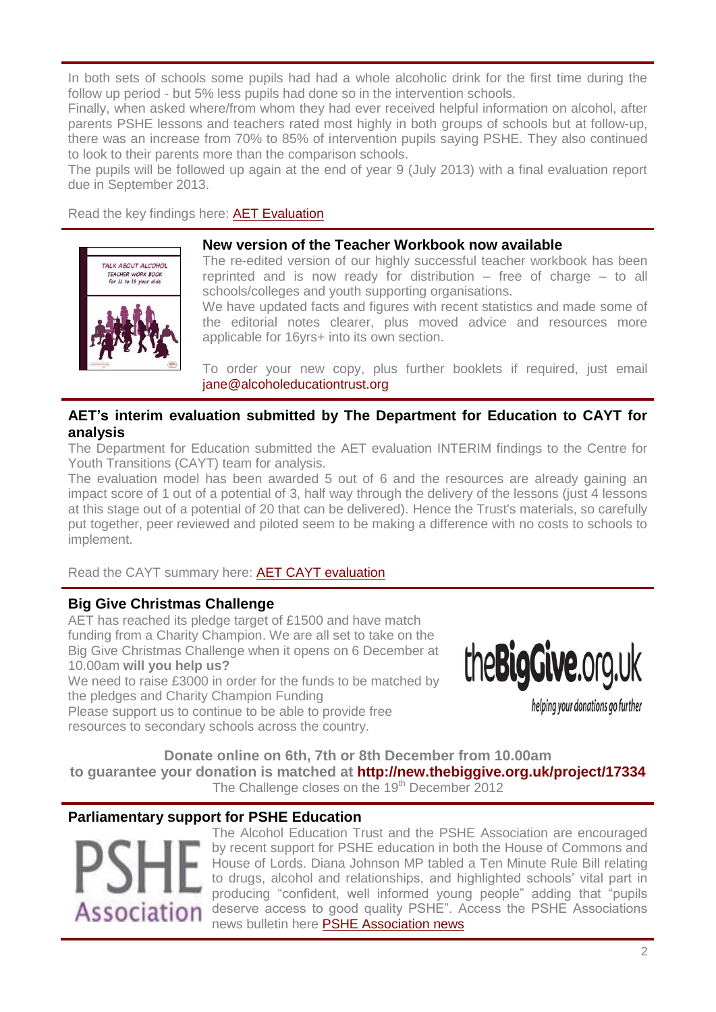In both sets of schools some pupils had had a whole alcoholic drink for the first time during the follow up period - but 5% less pupils had done so in the intervention schools.

Finally, when asked where/from whom they had ever received helpful information on alcohol, after parents PSHE lessons and teachers rated most highly in both groups of schools but at follow-up, there was an increase from 70% to 85% of intervention pupils saying PSHE. They also continued to look to their parents more than the comparison schools.

The pupils will be followed up again at the end of year 9 (July 2013) with a final evaluation report due in September 2013.

Read the key findings here: [AET Evaluation](http://alcoholeducationtrust.org/Pages/peer.html)



#### **New version of the Teacher Workbook now available**

The re-edited version of our highly successful teacher workbook has been reprinted and is now ready for distribution – free of charge – to all schools/colleges and youth supporting organisations.

We have updated facts and figures with recent statistics and made some of the editorial notes clearer, plus moved advice and resources more applicable for 16yrs+ into its own section.

To order your new copy, plus further booklets if required, just email [jane@alcoholeducationtrust.org](mailto:jane@alcoholeducationtrust.org)

## **AET's interim evaluation submitted by The Department for Education to CAYT for analysis**

The Department for Education submitted the AET evaluation INTERIM findings to the Centre for Youth Transitions (CAYT) team for analysis.

The evaluation model has been awarded 5 out of 6 and the resources are already gaining an impact score of 1 out of a potential of 3, half way through the delivery of the lessons (just 4 lessons at this stage out of a potential of 20 that can be delivered). Hence the Trust's materials, so carefully put together, peer reviewed and piloted seem to be making a difference with no costs to schools to implement.

Read the CAYT summary here: [AET CAYT evaluation](http://alcoholeducationtrust.org/resources/CAYT%20evaluation.pdf)

#### **Big Give Christmas Challenge**

AET has reached its pledge target of £1500 and have match funding from a Charity Champion. We are all set to take on the Big Give Christmas Challenge when it opens on 6 December at 10.00am **will you help us?**

We need to raise £3000 in order for the funds to be matched by the pledges and Charity Champion Funding

theBigGive.org.uk

helping your donations go further

Please support us to continue to be able to provide free resources to secondary schools across the country.

**Donate online on 6th, 7th or 8th December from 10.00am to guarantee your donation is matched at <http://new.thebiggive.org.uk/project/17334>** The Challenge closes on the 19<sup>th</sup> December 2012

## **Parliamentary support for PSHE Education**



The Alcohol Education Trust and the PSHE Association are encouraged by recent support for PSHE education in both the House of Commons and House of Lords. Diana Johnson MP tabled a Ten Minute Rule Bill relating to drugs, alcohol and relationships, and highlighted schools' vital part in producing "confident, well informed young people" adding that "pupils deserve access to good quality PSHE". Access the PSHE Associations news bulletin here [PSHE Association news](http://www.pshe-association.org.uk/news_detail.aspx?ID=1315)